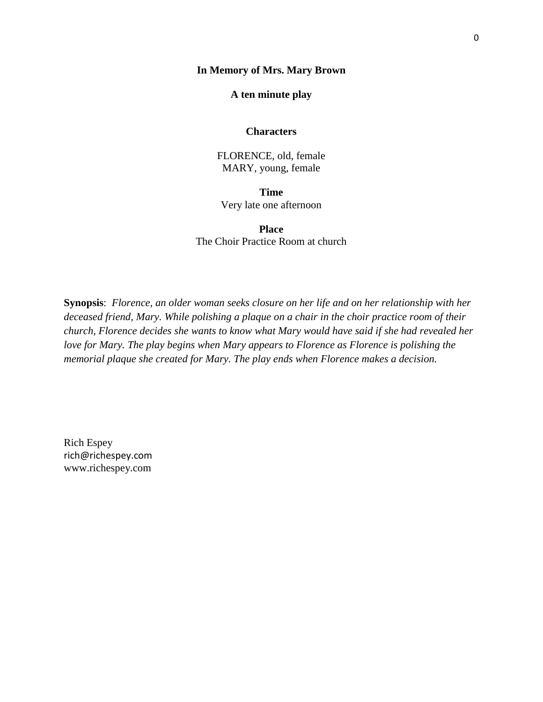## **In Memory of Mrs. Mary Brown**

## **A ten minute play**

## **Characters**

FLORENCE, old, female MARY, young, female

**Time** Very late one afternoon

**Place** The Choir Practice Room at church

**Synopsis**: *Florence, an older woman seeks closure on her life and on her relationship with her deceased friend, Mary. While polishing a plaque on a chair in the choir practice room of their church, Florence decides she wants to know what Mary would have said if she had revealed her love for Mary. The play begins when Mary appears to Florence as Florence is polishing the memorial plaque she created for Mary. The play ends when Florence makes a decision.*

Rich Espey rich@richespey.com www.richespey.com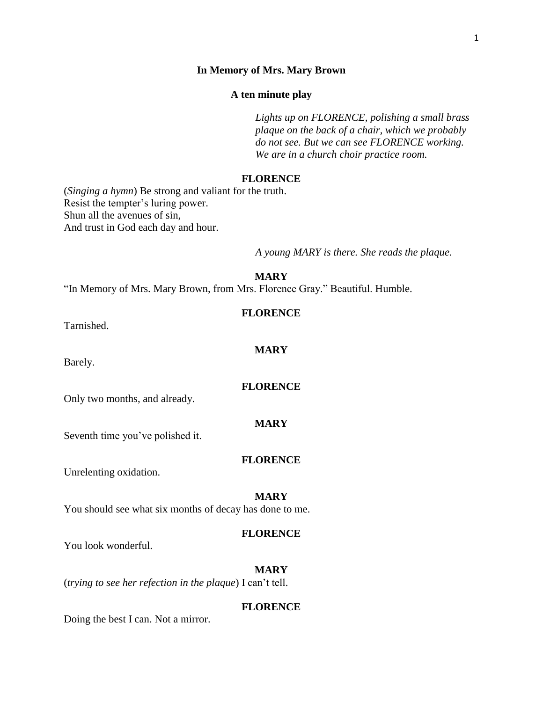#### **In Memory of Mrs. Mary Brown**

### **A ten minute play**

*Lights up on FLORENCE, polishing a small brass plaque on the back of a chair, which we probably do not see. But we can see FLORENCE working. We are in a church choir practice room.* 

#### **FLORENCE**

(*Singing a hymn*) Be strong and valiant for the truth. Resist the tempter's luring power. Shun all the avenues of sin, And trust in God each day and hour.

*A young MARY is there. She reads the plaque.*

#### **MARY**

"In Memory of Mrs. Mary Brown, from Mrs. Florence Gray." Beautiful. Humble.

#### **FLORENCE**

**MARY**

Tarnished.

Barely.

#### **FLORENCE**

**MARY**

Only two months, and already.

Seventh time you've polished it.

#### **FLORENCE**

Unrelenting oxidation.

#### **MARY**

You should see what six months of decay has done to me.

## **FLORENCE**

You look wonderful.

**MARY** (*trying to see her refection in the plaque*) I can't tell.

## **FLORENCE**

Doing the best I can. Not a mirror.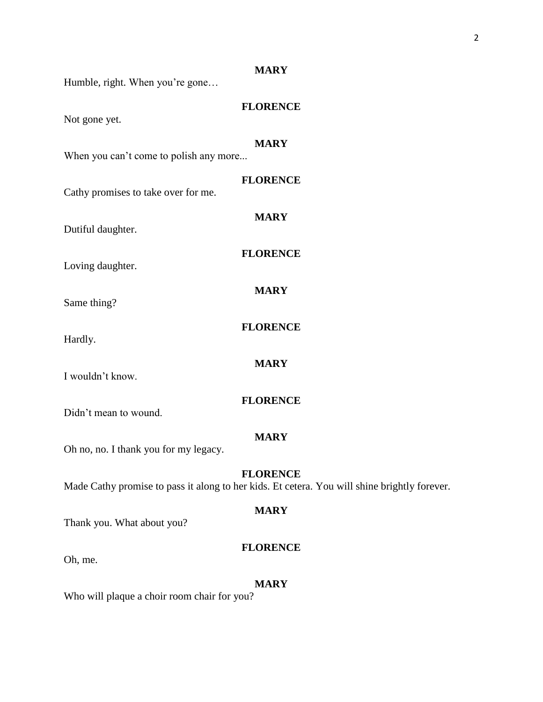|                                        | <b>MARY</b>                                                                                                     |
|----------------------------------------|-----------------------------------------------------------------------------------------------------------------|
| Humble, right. When you're gone        |                                                                                                                 |
| Not gone yet.                          | <b>FLORENCE</b>                                                                                                 |
| When you can't come to polish any more | <b>MARY</b>                                                                                                     |
| Cathy promises to take over for me.    | <b>FLORENCE</b>                                                                                                 |
| Dutiful daughter.                      | <b>MARY</b>                                                                                                     |
| Loving daughter.                       | <b>FLORENCE</b>                                                                                                 |
| Same thing?                            | <b>MARY</b>                                                                                                     |
| Hardly.                                | <b>FLORENCE</b>                                                                                                 |
| I wouldn't know.                       | <b>MARY</b>                                                                                                     |
| Didn't mean to wound.                  | <b>FLORENCE</b>                                                                                                 |
| Oh no, no. I thank you for my legacy.  | <b>MARY</b>                                                                                                     |
|                                        | <b>FLORENCE</b><br>Made Cathy promise to pass it along to her kids. Et cetera. You will shine brightly forever. |
| Thank you. What about you?             | <b>MARY</b>                                                                                                     |
| $Oh$ me                                | <b>FLORENCE</b>                                                                                                 |

Oh, me.

# **MARY**

Who will plaque a choir room chair for you?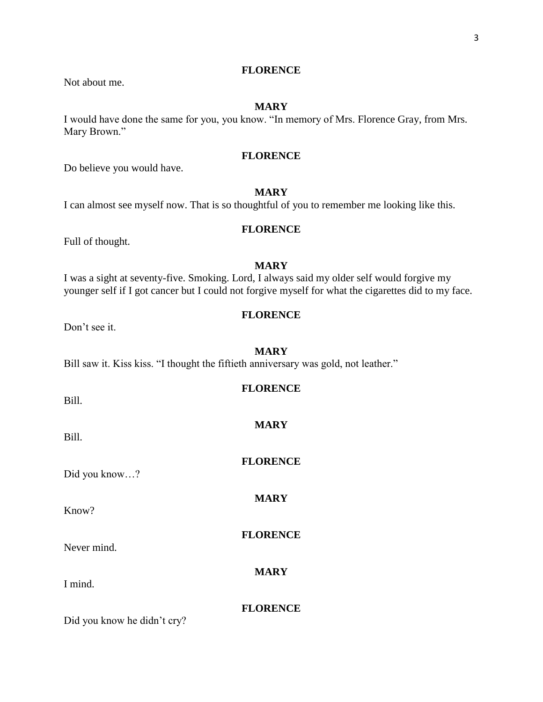## **FLORENCE**

Not about me.

## **MARY**

I would have done the same for you, you know. "In memory of Mrs. Florence Gray, from Mrs. Mary Brown."

## **FLORENCE**

Do believe you would have.

## **MARY**

I can almost see myself now. That is so thoughtful of you to remember me looking like this.

## **FLORENCE**

Full of thought.

## **MARY**

I was a sight at seventy-five. Smoking. Lord, I always said my older self would forgive my younger self if I got cancer but I could not forgive myself for what the cigarettes did to my face.

## **FLORENCE**

Don't see it.

#### **MARY**

**FLORENCE**

Bill saw it. Kiss kiss. "I thought the fiftieth anniversary was gold, not leather."

| Bill.                       |                 |
|-----------------------------|-----------------|
| Bill.                       | <b>MARY</b>     |
| Did you know?               | <b>FLORENCE</b> |
| Know?                       | <b>MARY</b>     |
| Never mind.                 | <b>FLORENCE</b> |
| I mind.                     | <b>MARY</b>     |
| Did you know he didn't cry? | <b>FLORENCE</b> |
|                             |                 |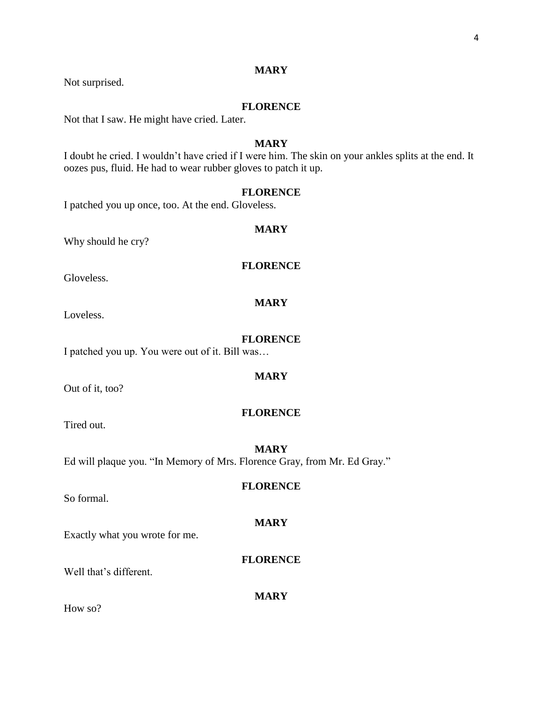Not surprised.

## **FLORENCE**

Not that I saw. He might have cried. Later.

## **MARY**

I doubt he cried. I wouldn't have cried if I were him. The skin on your ankles splits at the end. It oozes pus, fluid. He had to wear rubber gloves to patch it up.

### **FLORENCE**

I patched you up once, too. At the end. Gloveless.

## **MARY**

Why should he cry?

Gloveless.

Loveless.

#### **FLORENCE**

I patched you up. You were out of it. Bill was…

Out of it, too?

#### **FLORENCE**

**MARY**

Tired out.

## **MARY**

Ed will plaque you. "In Memory of Mrs. Florence Gray, from Mr. Ed Gray."

### **FLORENCE**

So formal.

Exactly what you wrote for me.

#### **FLORENCE**

**MARY**

Well that's different.

#### **MARY**

How so?

# **MARY**

**FLORENCE**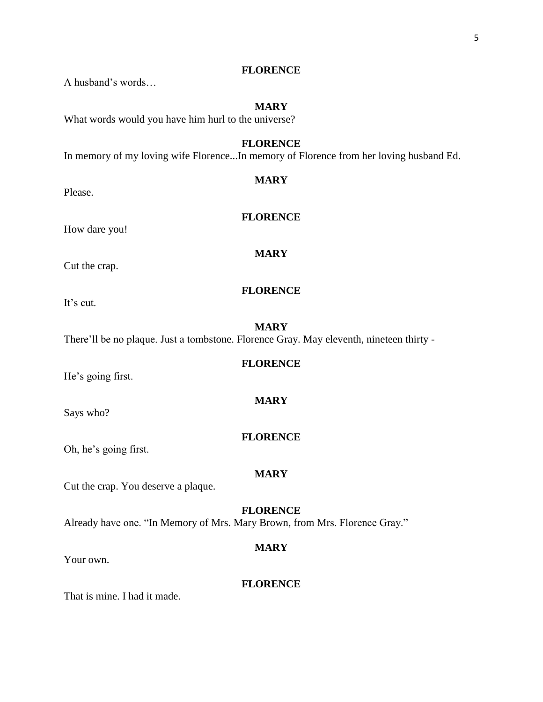## **FLORENCE**

A husband's words…

## **MARY**

What words would you have him hurl to the universe?

## **FLORENCE**

In memory of my loving wife Florence...In memory of Florence from her loving husband Ed.

## **MARY**

**FLORENCE**

Please.

How dare you!

## **MARY**

Cut the crap.

## **FLORENCE**

It's cut.

## **MARY**

**FLORENCE**

**MARY**

There'll be no plaque. Just a tombstone. Florence Gray. May eleventh, nineteen thirty -

# He's going first.

Says who?

## **FLORENCE**

Oh, he's going first.

## **MARY**

Cut the crap. You deserve a plaque.

## **FLORENCE**

Already have one. "In Memory of Mrs. Mary Brown, from Mrs. Florence Gray."

## **MARY**

Your own.

## **FLORENCE**

That is mine. I had it made.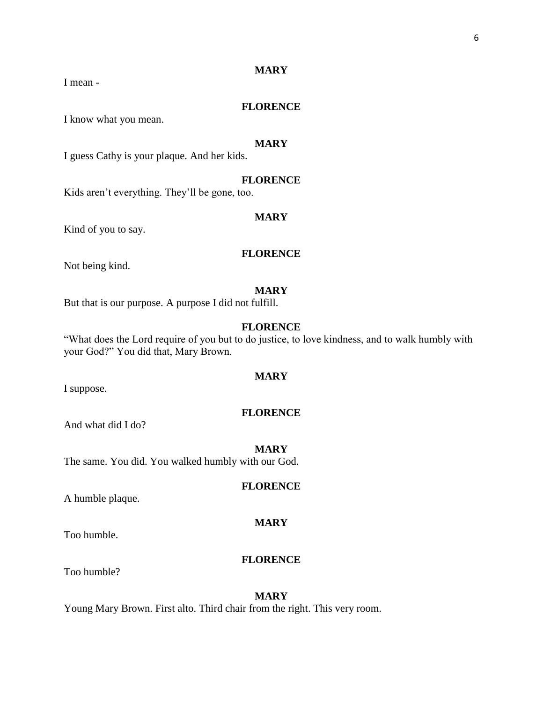I mean -

## **FLORENCE**

I know what you mean.

#### **MARY**

I guess Cathy is your plaque. And her kids.

### **FLORENCE**

Kids aren't everything. They'll be gone, too.

#### **MARY**

Kind of you to say.

## **FLORENCE**

Not being kind.

## **MARY**

But that is our purpose. A purpose I did not fulfill.

## **FLORENCE**

"What does the Lord require of you but to do justice, to love kindness, and to walk humbly with your God?" You did that, Mary Brown.

## **MARY**

I suppose.

#### **FLORENCE**

And what did I do?

#### **MARY**

The same. You did. You walked humbly with our God.

#### **FLORENCE**

A humble plaque.

## **MARY**

Too humble.

#### **FLORENCE**

Too humble?

## **MARY**

Young Mary Brown. First alto. Third chair from the right. This very room.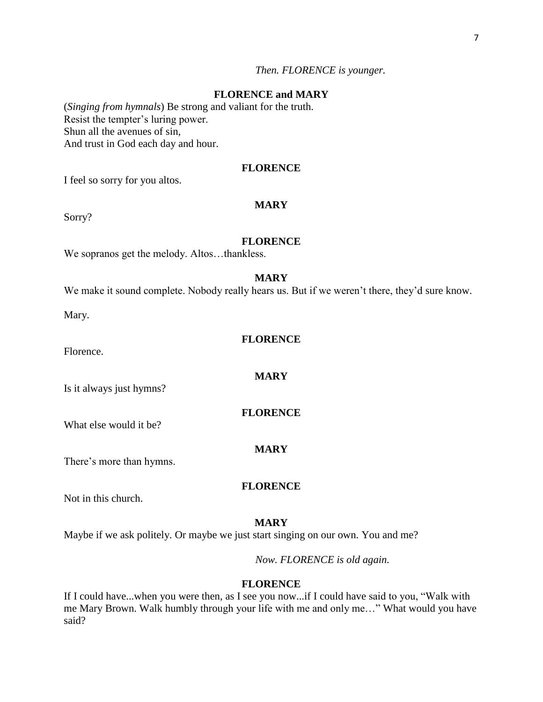## **FLORENCE and MARY**

(*Singing from hymnals*) Be strong and valiant for the truth. Resist the tempter's luring power. Shun all the avenues of sin, And trust in God each day and hour.

## **FLORENCE**

I feel so sorry for you altos.

## **MARY**

Sorry?

#### **FLORENCE**

We sopranos get the melody. Altos…thankless.

#### **MARY**

We make it sound complete. Nobody really hears us. But if we weren't there, they'd sure know.

Mary.

## **FLORENCE**

**MARY**

**FLORENCE**

**MARY**

Florence.

Is it always just hymns?

What else would it be?

There's more than hymns.

### **FLORENCE**

Not in this church.

#### **MARY**

Maybe if we ask politely. Or maybe we just start singing on our own. You and me?

*Now. FLORENCE is old again.*

#### **FLORENCE**

If I could have...when you were then, as I see you now...if I could have said to you, "Walk with me Mary Brown. Walk humbly through your life with me and only me…" What would you have said?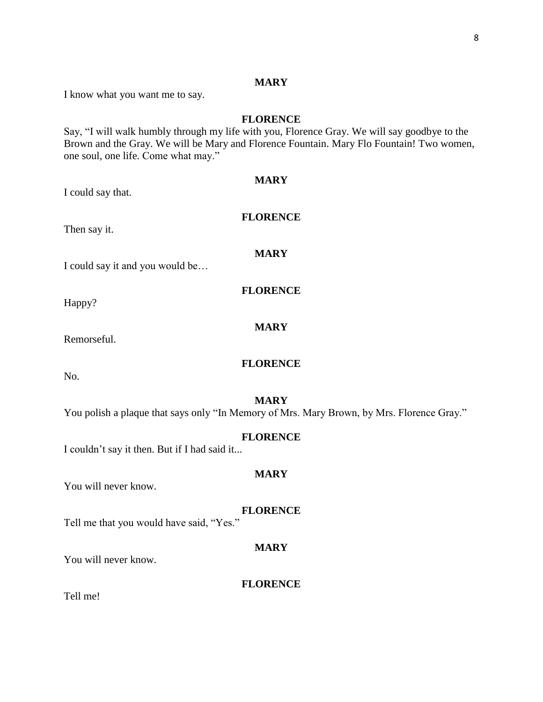I know what you want me to say.

## **FLORENCE**

Say, "I will walk humbly through my life with you, Florence Gray. We will say goodbye to the Brown and the Gray. We will be Mary and Florence Fountain. Mary Flo Fountain! Two women, one soul, one life. Come what may."

| <b>MARY</b> |  |
|-------------|--|
|             |  |
|             |  |
|             |  |

**FLORENCE**

Then say it.

I could say that.

**MARY**

I could say it and you would be…

Happy?

## **MARY**

**FLORENCE**

Remorseful.

**FLORENCE**

No.

## **MARY**

You polish a plaque that says only "In Memory of Mrs. Mary Brown, by Mrs. Florence Gray."

#### **FLORENCE**

I couldn't say it then. But if I had said it...

## **MARY**

You will never know.

#### **FLORENCE**

Tell me that you would have said, "Yes."

## **MARY**

You will never know.

#### **FLORENCE**

Tell me!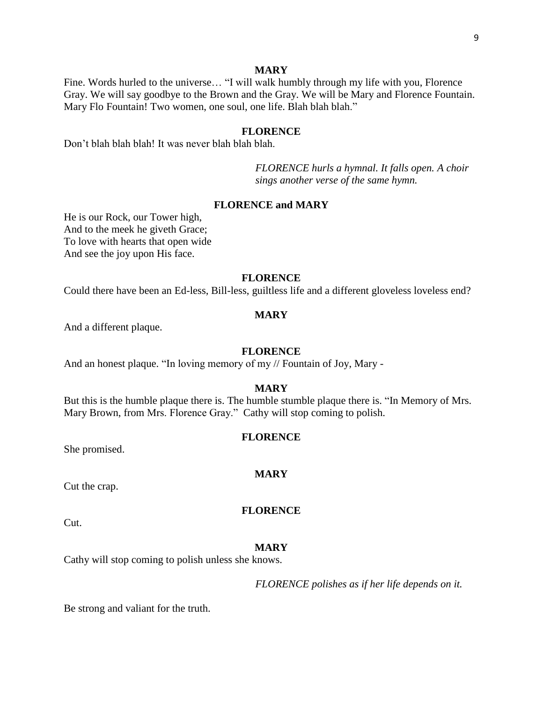Fine. Words hurled to the universe… "I will walk humbly through my life with you, Florence Gray. We will say goodbye to the Brown and the Gray. We will be Mary and Florence Fountain. Mary Flo Fountain! Two women, one soul, one life. Blah blah blah."

## **FLORENCE**

Don't blah blah blah! It was never blah blah blah.

*FLORENCE hurls a hymnal. It falls open. A choir sings another verse of the same hymn.* 

## **FLORENCE and MARY**

He is our Rock, our Tower high, And to the meek he giveth Grace; To love with hearts that open wide And see the joy upon His face.

#### **FLORENCE**

Could there have been an Ed-less, Bill-less, guiltless life and a different gloveless loveless end?

#### **MARY**

And a different plaque.

#### **FLORENCE**

And an honest plaque. "In loving memory of my // Fountain of Joy, Mary -

#### **MARY**

But this is the humble plaque there is. The humble stumble plaque there is. "In Memory of Mrs. Mary Brown, from Mrs. Florence Gray." Cathy will stop coming to polish.

#### **FLORENCE**

She promised.

#### **MARY**

Cut the crap.

#### **FLORENCE**

Cut.

## **MARY**

Cathy will stop coming to polish unless she knows.

*FLORENCE polishes as if her life depends on it.*

Be strong and valiant for the truth.